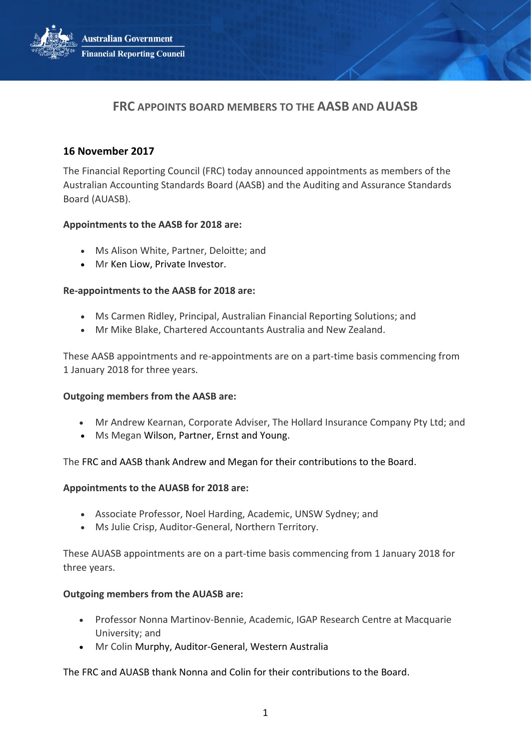**Australian Government Financial Reporting Council** 



# **16 November 2017**

The Financial Reporting Council (FRC) today announced appointments as members of the Australian Accounting Standards Board (AASB) and the Auditing and Assurance Standards Board (AUASB).

## **Appointments to the AASB for 2018 are:**

- Ms Alison White, Partner, Deloitte; and
- Mr Ken Liow, Private Investor.

## **Re-appointments to the AASB for 2018 are:**

- Ms Carmen Ridley, Principal, Australian Financial Reporting Solutions; and
- Mr Mike Blake, Chartered Accountants Australia and New Zealand.

These AASB appointments and re-appointments are on a part-time basis commencing from 1 January 2018 for three years.

#### **Outgoing members from the AASB are:**

- Mr Andrew Kearnan, Corporate Adviser, The Hollard Insurance Company Pty Ltd; and
- Ms Megan Wilson, Partner, Ernst and Young.

The FRC and AASB thank Andrew and Megan for their contributions to the Board.

#### **Appointments to the AUASB for 2018 are:**

- Associate Professor, Noel Harding, Academic, UNSW Sydney; and
- Ms Julie Crisp, Auditor-General, Northern Territory.

These AUASB appointments are on a part-time basis commencing from 1 January 2018 for three years.

#### **Outgoing members from the AUASB are:**

- Professor Nonna Martinov-Bennie, Academic, IGAP Research Centre at Macquarie University; and
- Mr Colin Murphy, Auditor-General, Western Australia

The FRC and AUASB thank Nonna and Colin for their contributions to the Board.